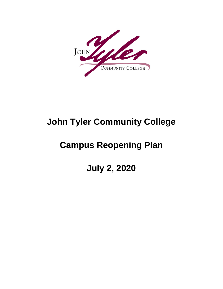

# **John Tyler Community College**

# **Campus Reopening Plan**

**July 2, 2020**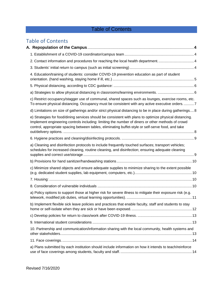# Table of Contents

# Table of Contents

| 2. Contact information and procedures for reaching the local health department4                                                                                                                                                                                                                                    |  |
|--------------------------------------------------------------------------------------------------------------------------------------------------------------------------------------------------------------------------------------------------------------------------------------------------------------------|--|
|                                                                                                                                                                                                                                                                                                                    |  |
| 4. Education/training of students: consider COVID-19 prevention education as part of student                                                                                                                                                                                                                       |  |
|                                                                                                                                                                                                                                                                                                                    |  |
|                                                                                                                                                                                                                                                                                                                    |  |
| c) Restrict occupancy/stagger use of communal, shared spaces such as lounges, exercise rooms, etc.<br>To ensure physical distancing. Occupancy must be consistent with any active executive orders7                                                                                                                |  |
| d) Limitations on size of gatherings and/or strict physical distancing to be in place during gatherings 8                                                                                                                                                                                                          |  |
| e) Strategies for food/dining services should be consistent with plans to optimize physical distancing.<br>Implement engineering controls including: limiting the number of diners or other methods of crowd<br>control, appropriate spacing between tables, eliminating buffet-style or self-serve food, and take |  |
|                                                                                                                                                                                                                                                                                                                    |  |
| a) Cleaning and disinfection protocols to include frequently touched surfaces; transport vehicles;<br>schedules for increased cleaning, routine cleaning, and disinfection; ensuring adequate cleaning                                                                                                             |  |
|                                                                                                                                                                                                                                                                                                                    |  |
| c) Minimize shared objects and ensure adequate supplies to minimize sharing to the extent possible                                                                                                                                                                                                                 |  |
|                                                                                                                                                                                                                                                                                                                    |  |
|                                                                                                                                                                                                                                                                                                                    |  |
| a) Policy options to support those at higher risk for severe illness to mitigate their exposure risk (e.g.                                                                                                                                                                                                         |  |
| b) Implement flexible sick leave policies and practices that enable faculty, staff and students to stay                                                                                                                                                                                                            |  |
|                                                                                                                                                                                                                                                                                                                    |  |
|                                                                                                                                                                                                                                                                                                                    |  |
| 10. Partnership and communication/information sharing with the local community, health systems and                                                                                                                                                                                                                 |  |
|                                                                                                                                                                                                                                                                                                                    |  |
| a) Plans submitted by each institution should include information on how it intends to teach/reinforce                                                                                                                                                                                                             |  |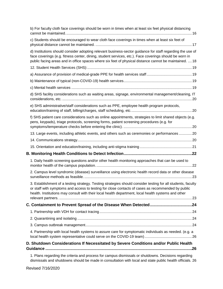| b) For faculty cloth face coverings should be worn in times when at least six feet physical distancing                                                                                                                                                                                                                        |  |
|-------------------------------------------------------------------------------------------------------------------------------------------------------------------------------------------------------------------------------------------------------------------------------------------------------------------------------|--|
| c) Students should be encouraged to wear cloth face coverings in times when at least six feet of                                                                                                                                                                                                                              |  |
| d) Institutions should consider adopting relevant business-sector guidance for staff regarding the use of<br>face coverings (e.g. fitness center, dining, student services, etc.). Face coverings should be worn in<br>public facing areas and in office spaces where six feet of physical distance cannot be maintained.  18 |  |
|                                                                                                                                                                                                                                                                                                                               |  |
|                                                                                                                                                                                                                                                                                                                               |  |
|                                                                                                                                                                                                                                                                                                                               |  |
|                                                                                                                                                                                                                                                                                                                               |  |
| d) SHS facility considerations such as waiting areas, signage, environmental management/cleaning, IT                                                                                                                                                                                                                          |  |
| e) SHS administrative/staff considerations such as PPE, employee health program protocols,                                                                                                                                                                                                                                    |  |
| f) SHS patient care considerations such as online appointments, strategies to limit shared objects (e.g.<br>pens, keypads), triage protocols, screening forms, patient screening procedures (e.g. for                                                                                                                         |  |
| 13. Large events, including athletic events, and others such as ceremonies or performances 20                                                                                                                                                                                                                                 |  |
|                                                                                                                                                                                                                                                                                                                               |  |
|                                                                                                                                                                                                                                                                                                                               |  |
|                                                                                                                                                                                                                                                                                                                               |  |
| 1. Daily health screening questions and/or other health monitoring approaches that can be used to                                                                                                                                                                                                                             |  |
| 2. Campus level syndromic (disease) surveillance using electronic health record data or other disease                                                                                                                                                                                                                         |  |
| 3. Establishment of a testing strategy. Testing strategies should consider testing for all students, faculty<br>or staff with symptoms and access to testing for close contacts of cases as recommended by public<br>health. Institutions may consult with their local health department, local health systems and other      |  |
|                                                                                                                                                                                                                                                                                                                               |  |
|                                                                                                                                                                                                                                                                                                                               |  |
|                                                                                                                                                                                                                                                                                                                               |  |
|                                                                                                                                                                                                                                                                                                                               |  |
| 4. Partnership with local health systems to assure care for symptomatic individuals as needed. (e.g. a                                                                                                                                                                                                                        |  |
| D. Shutdown Considerations If Necessitated by Severe Conditions and/or Public Health                                                                                                                                                                                                                                          |  |
| 1. Plans regarding the criteria and process for campus dismissals or shutdowns. Decisions regarding                                                                                                                                                                                                                           |  |

[dismissals and shutdowns should be made in consultation with local and state public health officials.](#page-26-2) 26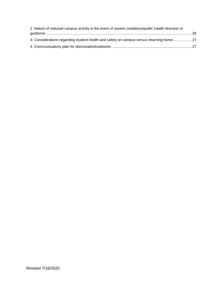| 2. Nature of reduced campus activity in the event of severe conditions/public health direction or |  |
|---------------------------------------------------------------------------------------------------|--|
|                                                                                                   |  |
| 3. Considerations regarding student health and safety on campus versus returning home27           |  |
|                                                                                                   |  |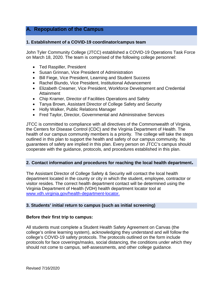# <span id="page-4-0"></span>**A. Repopulation of the Campus**

#### <span id="page-4-1"></span>**1. Establishment of a COVID-19 coordinator/campus team**

John Tyler Community College (JTCC) established a COVID-19 Operations Task Force on March 18, 2020. The team is comprised of the following college personnel:

- Ted Raspiller, President
- Susan Grinnan, Vice President of Administration
- Bill Fiege, Vice President, Learning and Student Success
- Rachel Biundo, Vice President, Institutional Advancement
- Elizabeth Creamer, Vice President, Workforce Development and Credential Attainment
- Chip Kramer, Director of Facilities Operations and Safety
- Tanya Brown, Assistant Director of College Safety and Security
- Holly Walker, Public Relations Manager
- Fred Taylor, Director, Governmental and Administrative Services

JTCC is committed to compliance with all directives of the Commonwealth of Virginia, the Centers for Disease Control (CDC) and the Virginia Department of Health. The health of our campus community members is a priority. The college will take the steps outlined in this plan to support the health and safety of our campus community. No guarantees of safety are implied in this plan. Every person on JTCC's campus should cooperate with the guidance, protocols, and procedures established in this plan.

#### <span id="page-4-2"></span>**2. Contact information and procedures for reaching the local health department.**

The Assistant Director of College Safety & Security will contact the local health department located in the county or city in which the student, employee, contractor or visitor resides. The correct health department contact will be determined using the Virginia Department of Health (VDH) health department locator tool a[t](http://www.vdh.virginia.gov/health-department-locator) [www.vdh.virginia.gov/health-department-locator.](http://www.vdh.virginia.gov/health-department-locator) 

#### <span id="page-4-3"></span>**3. Students' initial return to campus (such as initial screening)**

#### **Before their first trip to campus:**

All students must complete a Student Health Safety Agreement on Canvas (the college's online learning system), acknowledging they understand and will follow the college's COVID-19 safety protocols. The protocols outlined on the form include protocols for face coverings/masks, social distancing, the conditions under which they should not come to campus, self-assessments, and other college guidance.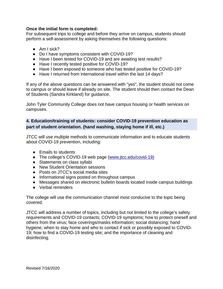#### **Once the initial form is completed:**

For subsequent trips to college and before they arrive on campus, students should perform a self-assessment by asking themselves the following questions:

- Am I sick?
- Do I have symptoms consistent with COVID-19?
- Have I been tested for COVID-19 and are awaiting test results?
- Have I recently tested positive for COVID-19?
- Have I been exposed to someone who has tested positive for COVID-19?
- Have I returned from international travel within the last 14 days?

If any of the above questions can be answered with "yes", the student should not come to campus or should leave if already on site. The student should then contact the Dean of Students (Sandra Kirkland) for guidance.

John Tyler Community College does not have campus housing or health services on campuses.

# <span id="page-5-0"></span>**4. Education/training of students: consider COVID-19 prevention education as part of student orientation. (hand washing, staying home if ill, etc.)**

JTCC will use multiple methods to communicate information and to educate students about COVID-19 prevention, including:

- Emails to students
- The college's COVID-19 web page [\(www.jtcc.edu/covid-19\)](http://www.jtcc.edu/covid-19)
- Statements on class syllabi
- New Student Orientation sessions
- Posts on JTCC's social media sites
- Informational signs posted on throughout campus
- Messages shared on electronic bulletin boards located inside campus buildings
- Verbal reminders

The college will use the communication channel most conducive to the topic being covered.

JTCC will address a number of topics, including but not limited to the college's safety requirements and COVID-19 contacts; COVID-19 symptoms; how to protect oneself and others from the virus; face coverings/masks information; social distancing; hand hygiene; when to stay home and who to contact if sick or possibly exposed to COVID-19; how to find a COVID-19 testing site; and the importance of cleaning and disinfecting.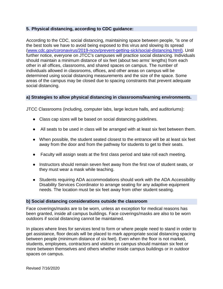### <span id="page-6-0"></span>**5. Physical distancing, according to CDC guidance:**

According to the CDC, social distancing, maintaining space between people, "is one of the best tools we have to avoid being exposed to this virus and slowing its spread [\(www.cdc.gov/coronavirus/2019-ncov/prevent-getting-sick/social-distancing.html\).](https://www.cdc.gov/coronavirus/2019-ncov/prevent-getting-sick/social-distancing.html) Until further notice, everyone on JTCC's campuses will practice social distancing. Individuals should maintain a minimum distance of six feet (about two arms' lengths) from each other in all offices, classrooms, and shared spaces on campus. The number of individuals allowed in classrooms, offices, and other areas on campus will be determined using social distancing measurements and the size of the space. Some areas of the campus may be closed due to spacing constraints that prevent adequate social distancing.

#### <span id="page-6-1"></span>**a) Strategies to allow physical distancing in classrooms/learning environments.**

JTCC Classrooms (including, computer labs, large lecture halls, and auditoriums):

- Class cap sizes will be based on social distancing guidelines.
- All seats to be used in class will be arranged with at least six feet between them.
- When possible, the student seated closest to the entrance will be at least six feet away from the door and from the pathway for students to get to their seats.
- Faculty will assign seats at the first class period and take roll each meeting.
- Instructors should remain seven feet away from the first row of student seats, or they must wear a mask while teaching.
- Students requiring ADA accommodations should work with the ADA Accessibility Disability Services Coordinator to arrange seating for any adaptive equipment needs. The location must be six feet away from other student seating.

#### **b) Social distancing considerations outside the classroom**

Face coverings/masks are to be worn, unless an exception for medical reasons has been granted, inside all campus buildings. Face coverings/masks are also to be worn outdoors if social distancing cannot be maintained.

In places where lines for services tend to form or where people need to stand in order to get assistance, floor decals will be placed to mark appropriate social distancing spacing between people (minimum distance of six feet). Even when the floor is not marked, students, employees, contractors and visitors on campus should maintain six feet or more between themselves and others whether inside campus buildings or in outdoor spaces on campus.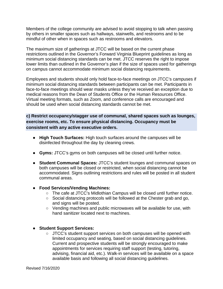Members of the college community are advised to avoid stopping to talk when passing by others in smaller spaces such as hallways, stairwells, and restrooms and to be mindful of other when in spaces such as restrooms and elevators.

The maximum size of gatherings at JTCC will be based on the current phase restrictions outlined in the Governor's Forward Virginia Blueprint guidelines as long as minimum social distancing standards can be met. JTCC reserves the right to impose lower limits than outlined in the Governor's plan if the size of spaces used for gatherings on campus cannot accommodate minimum social distancing requirements.

Employees and students should only hold face-to-face meetings on JTCC's campuses if minimum social distancing standards between participants can be met. Participants in face-to-face meetings should wear masks unless they've received an exception due to medical reasons from the Dean of Students Office or the Human Resources Office. Virtual meeting formats, such as Zoom, and conference calls are encouraged and should be used when social distancing standards cannot be met.

<span id="page-7-0"></span>**c) Restrict occupancy/stagger use of communal, shared spaces such as lounges, exercise rooms, etc. To ensure physical distancing. Occupancy must be consistent with any active executive orders.**

- **High Touch Surfaces:** High touch surfaces around the campuses will be disinfected throughout the day by cleaning crews.
- **Gyms:** JTCC's gyms on both campuses will be closed until further notice.
- **Student Communal Spaces:** JTCC's student lounges and communal spaces on both campuses will be closed or restricted, when social distancing cannot be accommodated. Signs outlining restrictions and rules will be posted in all student communal areas.
- **Food Services/Vending Machines:**
	- The cafe at JTCC's Midlothian Campus will be closed until further notice.
	- Social distancing protocols will be followed at the Chester grab and go, and signs will be posted.
	- Vending machines and public microwaves will be available for use, with hand sanitizer located next to machines.

#### ● **Student Support Services:**

○ JTCC's student support services on both campuses will be opened with limited occupancy and seating, based on social distancing guidelines. Current and prospective students will be strongly encouraged to make appointments for services requiring staff support (testing, tutoring, advising, financial aid, etc.). Walk-in services will be available on a space available basis and following all social distancing guidelines.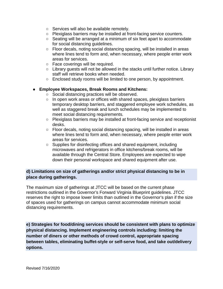- Services will also be available remotely.
- Plexiglass barriers may be installed at front-facing service counters.
- Seating will be arranged at a minimum of six feet apart to accommodate for social distancing guidelines.
- Floor decals, noting social distancing spacing, will be installed in areas where lines tend to form and, when necessary, where people enter work areas for services.
- Face coverings will be required.
- Library quests will not be allowed in the stacks until further notice. Library staff will retrieve books when needed.
- Enclosed study rooms will be limited to one person, by appointment.

#### ● **Employee Workspaces, Break Rooms and Kitchens:**

- Social distancing practices will be observed.
- In open work areas or offices with shared spaces, plexiglass barriers temporary desktop barriers, and staggered employee work schedules, as well as staggered break and lunch schedules may be implemented to meet social distancing requirements.
- Plexiglass barriers may be installed at front-facing service and receptionist desks.
- $\circ$  Floor decals, noting social distancing spacing, will be installed in areas where lines tend to form and, when necessary, where people enter work areas for services.
- Supplies for disinfecting offices and shared equipment, including microwaves and refrigerators in office kitchens/break rooms, will be available through the Central Store. Employees are expected to wipe down their personal workspace and shared equipment after use.

# <span id="page-8-0"></span>**d) Limitations on size of gatherings and/or strict physical distancing to be in place during gatherings.**

The maximum size of gatherings at JTCC will be based on the current phase restrictions outlined in the Governor's Forward Virginia Blueprint guidelines. JTCC reserves the right to impose lower limits than outlined in the Governor's plan if the size of spaces used for gatherings on campus cannot accommodate minimum social distancing requirements.

<span id="page-8-1"></span>**e) Strategies for food/dining services should be consistent with plans to optimize physical distancing. Implement engineering controls including: limiting the number of diners or other methods of crowd control, appropriate spacing between tables, eliminating buffet-style or self-serve food, and take out/delivery options.**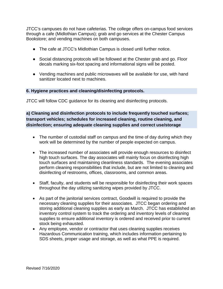JTCC's campuses do not have cafeterias. The college offers on-campus food services through a cafe (Midlothian Campus); grab and go services at the Chester Campus Bookstore; and vending machines on both campuses.

- The cafe at JTCC's Midlothian Campus is closed until further notice.
- Social distancing protocols will be followed at the Chester grab and go. Floor decals marking six-foot spacing and informational signs will be posted.
- Vending machines and public microwaves will be available for use, with hand sanitizer located next to machines.

#### <span id="page-9-0"></span>**6. Hygiene practices and cleaning/disinfecting protocols.**

JTCC will follow CDC guidance for its cleaning and disinfecting protocols.

<span id="page-9-1"></span>**a) Cleaning and disinfection protocols to include frequently touched surfaces; transport vehicles; schedules for increased cleaning, routine cleaning, and disinfection; ensuring adequate cleaning supplies and correct use/storage**

- The number of custodial staff on campus and the time of day during which they work will be determined by the number of people expected on campus.
- The increased number of associates will provide enough resources to disinfect high touch surfaces. The day associates will mainly focus on disinfecting high touch surfaces and maintaining cleanliness standards. The evening associates perform cleaning responsibilities that include, but are not limited to cleaning and disinfecting of restrooms, offices, classrooms, and common areas.
- Staff, faculty, and students will be responsible for disinfecting their work spaces throughout the day utilizing sanitizing wipes provided by JTCC.
- As part of the janitorial services contract, Goodwill is required to provide the necessary cleaning supplies for their associates. JTCC began ordering and storing additional cleaning supplies as early as March. JTCC has established an inventory control system to track the ordering and inventory levels of cleaning supplies to ensure additional inventory is ordered and received prior to current stock being exhausted.
- Any employee, vendor or contractor that uses cleaning supplies receives Hazardous Communication training, which includes information pertaining to SDS sheets, proper usage and storage, as well as what PPE is required.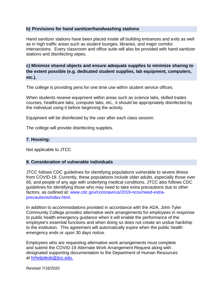#### <span id="page-10-0"></span>**b) Provisions for hand sanitizer/handwashing stations**

Hand sanitizer stations have been placed inside all building entrances and exits as well as in high traffic areas such as student lounges, libraries, and major corridor intersections. Every classroom and office suite will also be provided with hand sanitizer stations and disinfecting wipes.

<span id="page-10-1"></span>**c) Minimize shared objects and ensure adequate supplies to minimize sharing to the extent possible (e.g. dedicated student supplies, lab equipment, computers, etc.).**

The college is providing pens for one time use within student service offices.

When students receive equipment within areas such as science labs, skilled trades courses, healthcare labs, computer labs, etc., it should be appropriately disinfected by the individual using it before beginning the activity.

Equipment will be disinfected by the user after each class session.

The college will provide disinfecting supplies.

#### <span id="page-10-2"></span>**7. Housing:**

Not applicable to JTCC

#### <span id="page-10-3"></span>**8. Consideration of vulnerable individuals**

JTCC follows CDC guidelines for identifying populations vulnerable to severe illness from COVID-19. Currently, these populations include older adults, especially those over 65, and people of any age with underlying medical conditions. JTCC also follows CDC guidelines for identifying those who may need to take extra precautions due to other factors, as outlined at: [www.cdc.gov/coronavirus/2019-ncov/need-extra](file://jtcc.vccs.edu/dfs/group/dof/VP%20Office%20Files/COVID%2019%20Information%20and%20Policies/www.cdc.gov/coronavirus/2019-ncov/need-extra-precautions/index.html.)[precautions/index.html.](file://jtcc.vccs.edu/dfs/group/dof/VP%20Office%20Files/COVID%2019%20Information%20and%20Policies/www.cdc.gov/coronavirus/2019-ncov/need-extra-precautions/index.html.)

In addition to accommodations provided in accordance with the ADA, John Tyler Community College provides alternative work arrangements for employees in response to public health emergency guidance when it will enable the performance of the employee's essential functions and when doing so does not create an undue hardship to the institution. This agreement will automatically expire when the public health emergency ends or upon 30 days notice.

Employees who are requesting alternative work arrangements must complete and submit the COVID-19 Alternate Work Arrangement Request along with designated supporting documentation to the Department of Human Resources at [hrhelpdesk@jtcc.edu.](file://jtcc.vccs.edu/dfs/group/dof/VP%20Office%20Files/COVID%2019%20Information%20and%20Policies/hrhelpdesk@jtcc.edu.)

Revised 7/16/2020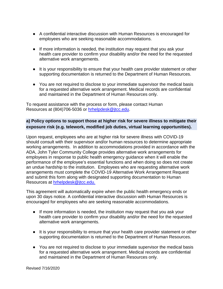- A confidential interactive discussion with Human Resources is encouraged for employees who are seeking reasonable accommodations.
- If more information is needed, the institution may request that you ask your health care provider to confirm your disability and/or the need for the requested alternative work arrangements.
- It is your responsibility to ensure that your health care provider statement or other supporting documentation is returned to the Department of Human Resources.
- You are not required to disclose to your immediate supervisor the medical basis for a requested alternative work arrangement. Medical records are confidential and maintained in the Department of Human Resources only.

To request assistance with the process or form, please contact Human Resources at (804)706-5036 or [hrhelpdesk@jtcc.edu.](file://jtcc.vccs.edu/dfs/group/dof/VP%20Office%20Files/COVID%2019%20Information%20and%20Policies/hrhelpdesk@jtcc.edu)

# <span id="page-11-0"></span>**a) Policy options to support those at higher risk for severe illness to mitigate their exposure risk (e.g. telework, modified job duties, virtual learning opportunities).**

Upon request, employees who are at higher risk for severe illness with COVID-19 should consult with their supervisor and/or human resources to determine appropriate working arrangements. In addition to accommodations provided in accordance with the ADA, John Tyler Community College provides alternative work arrangements for employees in response to public health emergency guidance when it will enable the performance of the employee's essential functions and when doing so does not create an undue hardship to the institution. Employees who are requesting alternative work arrangements must complete the COVID-19 Alternative Work Arrangement Request and submit this form along with designated supporting documentation to Human Resources at [hrhelpdesk@jtcc.edu.](file://jtcc.vccs.edu/dfs/group/dof/VP%20Office%20Files/COVID%2019%20Information%20and%20Policies/hrhelpdesk@jtcc.edu.%20)

This agreement will automatically expire when the public health emergency ends or upon 30 days notice. A confidential interactive discussion with Human Resources is encouraged for employees who are seeking reasonable accommodations.

- If more information is needed, the institution may request that you ask your health care provider to confirm your disability and/or the need for the requested alternative work arrangements.
- It is your responsibility to ensure that your health care provider statement or other supporting documentation is returned to the Department of Human Resources.
- You are not required to disclose to your immediate supervisor the medical basis for a requested alternative work arrangement. Medical records are confidential and maintained in the Department of Human Resources only.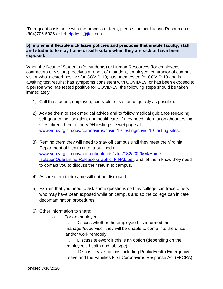To request assistance with the process or form, please contact Human Resources at (804)706-5036 or [hrhelpdesk@jtcc.edu.](file://jtcc.vccs.edu/dfs/group/dof/VP%20Office%20Files/COVID%2019%20Information%20and%20Policies/hrhelpdesk@jtcc.edu.)

#### <span id="page-12-0"></span>**b) Implement flexible sick leave policies and practices that enable faculty, staff and students to stay home or self-isolate when they are sick or have been exposed.**

When the Dean of Students (for students) or Human Resources (for employees, contractors or visitors) receives a report of a student, employee, contractor of campus visitor who's tested positive for COVID-19; has been tested for COVID-19 and is awaiting test results; has symptoms consistent with COVID-19; or has been exposed to a person who has tested positive for COVID-19, the following steps should be taken immediately.

- 1) Call the student, employee, contractor or visitor as quickly as possible.
- 2) Advise them to seek medical advice and to follow medical guidance regarding self-quarantine, isolation, and healthcare. If they need information about testing sites, direct them to the VDH testing site webpage a[t](http://www.vdh.virginia.gov/coronavirus/covid-19-testing/covid-19-testing-sites) [www.vdh.virginia.gov/coronavirus/covid-19-testing/covid-19-testing-sites.](file://jtcc.vccs.edu/dfs/group/dof/VP%20Office%20Files/COVID%2019%20Information%20and%20Policies/www.vdh.virginia.gov/coronavirus/covid-19-testing/covid-19-testing-sites.)
- 3) Remind them they will need to stay off campus until they meet the Virginia Department of Health criteria outlined a[t](http://www.vdh.virginia.gov/content/uploads/sites/182/2020/04/Home-IsolationQuarantine-Release-Graphic_FINAL.pdf) [www.vdh.virginia.gov/content/uploads/sites/182/2020/04/Home-](file://jtcc.vccs.edu/dfs/group/dof/VP%20Office%20Files/COVID%2019%20Information%20and%20Policies/www.vdh.virginia.gov/content/uploads/sites/182/2020/04/Home-IsolationQuarantine-Release-Graphic_FINAL.pdf)[IsolationQuarantine-Release-Graphic\\_FINAL.pdf,](file://jtcc.vccs.edu/dfs/group/dof/VP%20Office%20Files/COVID%2019%20Information%20and%20Policies/www.vdh.virginia.gov/content/uploads/sites/182/2020/04/Home-IsolationQuarantine-Release-Graphic_FINAL.pdf) and let them know they need to contact you to discuss their return to campus.
- 4) Assure them their name will not be disclosed.
- 5) Explain that you need to ask some questions so they college can trace others who may have been exposed while on campus and so the college can initiate decontamination procedures.
- 6) Other information to share:
	- a. For an employee

i. Discuss whether the employee has informed their manager/supervisor they will be unable to come into the office and/or work remotely

ii. Discuss telework if this is an option (depending on the employee's health and job type)

iii. Discuss leave options including Public Health Emergency Leave and the Families First Coronavirus Response Act (FFCRA).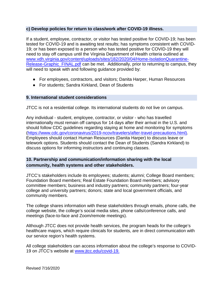#### <span id="page-13-0"></span>**c) Develop policies for return to class/work after COVID-19 illness.**

If a student, employee, contractor, or visitor has tested positive for COVID-19; has been tested for COVID-19 and is awaiting test results; has symptoms consistent with COVID-19; or has been exposed to a person who has tested positive for COVID-19 they will need to stay off campus until the Virginia Department of Health criteria outlined a[t](http://www.vdh.virginia.gov/content/uploads/sites/182/2020/04/Home-IsolationQuarantine-Release-Graphic_FINAL.pdf) [www.vdh.virginia.gov/content/uploads/sites/182/2020/04/Home-IsolationQuarantine-](file://jtcc.vccs.edu/dfs/group/dof/VP%20Office%20Files/COVID%2019%20Information%20and%20Policies/www.vdh.virginia.gov/content/uploads/sites/182/2020/04/Home-IsolationQuarantine-Release-Graphic_FINAL.pdf)[Release-Graphic\\_FINAL.pdf](file://jtcc.vccs.edu/dfs/group/dof/VP%20Office%20Files/COVID%2019%20Information%20and%20Policies/www.vdh.virginia.gov/content/uploads/sites/182/2020/04/Home-IsolationQuarantine-Release-Graphic_FINAL.pdf) can be met. Additionally, prior to returning to campus, they will need to speak with and following guidance provided by:

- For employees, contractors, and visitors; Danita Harper, Human Resources
- For students: Sandra Kirkland, Dean of Students

#### <span id="page-13-1"></span>**9. International student considerations**

JTCC is not a residential college. Its international students do not live on campus.

Any individual - student, employee, contractor, or visitor - who has travelled internationally must remain off campus for 14 days after their arrival in the U.S. and should follow CDC guidelines regarding staying at home and monitoring for symptoms [\(https://www.cdc.gov/coronavirus/2019-ncov/travelers/after-travel-precautions.html\).](https://www.cdc.gov/coronavirus/2019-ncov/travelers/after-travel-precautions.html) Employees should contact Human Resources (Danita Harper) to discuss leave or telework options. Students should contact the Dean of Students (Sandra Kirkland) to discuss options for informing instructors and continuing classes.

# <span id="page-13-2"></span>**10. Partnership and communication/information sharing with the local community, health systems and other stakeholders.**

JTCC's stakeholders include its employees; students; alumni; College Board members; Foundation Board members; Real Estate Foundation Board members; advisory committee members; business and industry partners; community partners; four-year college and university partners; donors; state and local government officials, and community members.

The college shares information with these stakeholders through emails, phone calls, the college website, the college's social media sites, phone calls/conference calls, and meetings (face-to-face and Zoom/remote meetings).

Although JTCC does not provide health services, the program heads for the college's healthcare majors, which require clinicals for students, are in direct communication with our service region's health systems.

All college stakeholders can access information about the college's response to COVID-19 on JTCC's website at [www.jtcc.edu/covid-19.](file://jtcc.vccs.edu/dfs/group/dof/VP%20Office%20Files/COVID%2019%20Information%20and%20Policies/www.jtcc.edu/covid-19.)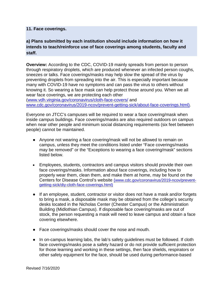#### <span id="page-14-0"></span>**11. Face coverings.**

<span id="page-14-1"></span>**a) Plans submitted by each institution should include information on how it intends to teach/reinforce use of face coverings among students, faculty and staff.**

**Overview:** According to the CDC, COVID-19 mainly spreads from person to person through respiratory droplets, which are produced whenever an infected person coughs, sneezes or talks. Face coverings/masks may help slow the spread of the virus by preventing droplets from spreading into the air. This is especially important because many with COVID-19 have no symptoms and can pass the virus to others without knowing it. So wearing a face mask can help protect those around you. When we all wear face coverings, we are protecting each other

[\(www.vdh.virginia.gov/coronavirus/cloth-face-covers/](https://www.vdh.virginia.gov/coronavirus/cloth-face-covers/) and [www.cdc.gov/coronavirus/2019-ncov/prevent-getting-sick/about-face-coverings.html\).](https://www.cdc.gov/coronavirus/2019-ncov/prevent-getting-sick/about-face-coverings.html)

Everyone on JTCC's campuses will be required t[o](https://www.cdc.gov/coronavirus/2019-ncov/prevent-getting-sick/cloth-face-cover-faq.html) [wear a face covering/mask](https://www.cdc.gov/coronavirus/2019-ncov/prevent-getting-sick/cloth-face-cover-faq.html) when inside campus buildings. Face coverings/masks are also required outdoors on campus when near other people and minimum social distancing requirements (six feet between people) cannot be maintained.

- Anyone not wearing a face covering/mask will not be allowed to remain on campus, unless they meet the conditions listed under "Face coverings/masks may be removed" or the "Exceptions to wearing a face covering/mask" sections listed below.
- Employees, students, contractors and campus visitors should provide their own face coverings/masks. Information about face coverings, including how to properly wear them, clean them, and make them at home, may be found on th[e](https://www.cdc.gov/coronavirus/2019-ncov/prevent-getting-sick/diy-cloth-face-coverings.html) [Centers for Disease Control's website](https://www.cdc.gov/coronavirus/2019-ncov/prevent-getting-sick/diy-cloth-face-coverings.html) [\(www.cdc.gov/coronavirus/2019-ncov/prevent](file://jtcc.vccs.edu/dfs/group/dof/VP%20Office%20Files/COVID%2019%20Information%20and%20Policies/(www.cdc.gov/coronavirus/2019-ncov/prevent-getting-sick/diy-cloth-face-coverings.html))[getting-sick/diy-cloth-face-coverings.html\)](file://jtcc.vccs.edu/dfs/group/dof/VP%20Office%20Files/COVID%2019%20Information%20and%20Policies/(www.cdc.gov/coronavirus/2019-ncov/prevent-getting-sick/diy-cloth-face-coverings.html))
- If an employee, student, contractor or visitor does not have a mask and/or forgets to bring a mask, a disposable mask may be obtained from the college's security desks located in the Nicholas Center (Chester Campus) or the Administration Building (Midlothian Campus). If disposable face covering/masks are out of stock, the person requesting a mask will need to leave campus and obtain a face covering elsewhere.
- Face coverings/masks should cover the nose and mouth.
- In on-campus learning labs, the lab's safety guidelines must be followed. If cloth face coverings/masks pose a safety hazard or do not provide sufficient protection for those learning and working in these settings, then face shields, respirators or other safety equipment for the face, should be used during performance-based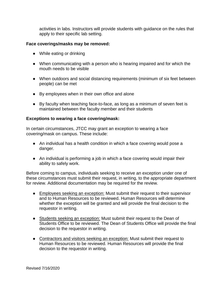activities in labs. Instructors will provide students with guidance on the rules that apply to their specific lab setting.

#### **Face coverings/masks may be removed:**

- While eating or drinking
- When communicating with a person who is hearing impaired and for which the mouth needs to be visible
- When outdoors and social distancing requirements (minimum of six feet between people) can be met
- By employees when in their own office and alone
- By faculty when teaching face-to-face, as long as a minimum of seven feet is maintained between the faculty member and their students

#### **Exceptions to wearing a face covering/mask:**

In certain circumstances, JTCC may grant an exception to wearing a face covering/mask on campus. These include:

- An individual has a health condition in which a face covering would pose a danger.
- An individual is performing a job in which a face covering would impair their ability to safely work.

Before coming to campus, individuals seeking to receive an exception under one of these circumstances must submit their request, in writing, to the appropriate department for review. Additional documentation may be required for the review.

- Employees seeking an exception: Must submit their request to their supervisor and to Human Resources to be reviewed. Human Resources will determine whether the exception will be granted and will provide the final decision to the requestor in writing.
- Students seeking an exception: Must submit their request to the Dean of Students Office to be reviewed. The Dean of Students Office will provide the final decision to the requestor in writing.
- Contractors and visitors seeking an exception: Must submit their request to Human Resources to be reviewed. Human Resources will provide the final decision to the requestor in writing.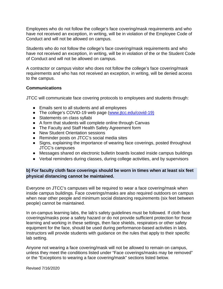Employees who do not follow the college's face covering/mask requirements and who have not received an exception, in writing, will be in violation of the Employee Code of Conduct and will not be allowed on campus.

Students who do not follow the college's face covering/mask requirements and who have not received an exception, in writing, will be in violation of the or the Student Code of Conduct and will not be allowed on campus.

A contractor or campus visitor who does not follow the college's face covering/mask requirements and who has not received an exception, in writing, will be denied access to the campus.

#### **Communications**

JTCC will communicate face covering protocols to employees and students through:

- Emails sent to all students and all employees
- The college's COVID-19 web page [\(www.jtcc.edu/covid-19\)](http://www.jtcc.edu/covid-19)
- Statements on class syllabi
- A form that students will complete online through Canvas
- The Faculty and Staff Health Safety Agreement form
- New Student Orientation sessions
- Reminder posts on JTCC's social media sites
- Signs, explaining the importance of wearing face coverings, posted throughout JTCC's campuses
- Messages shared on electronic bulletin boards located inside campus buildings
- Verbal reminders during classes, during college activities, and by supervisors

# <span id="page-16-0"></span>**b) For faculty cloth face coverings should be worn in times when at least six feet physical distancing cannot be maintained.**

Everyone on JTCC's campuses will be required to [wear a face covering/mask](https://www.cdc.gov/coronavirus/2019-ncov/prevent-getting-sick/cloth-face-cover-faq.html) when inside campus buildings. Face coverings/masks are also required outdoors on campus when near other people and minimum social distancing requirements (six feet between people) cannot be maintained.

In on-campus learning labs, the lab's safety guidelines must be followed. If cloth face coverings/masks pose a safety hazard or do not provide sufficient protection for those learning and working in these settings, then face shields, respirators or other safety equipment for the face, should be used during performance-based activities in labs. Instructors will provide students with guidance on the rules that apply to their specific lab setting.

Anyone not wearing a face covering/mask will not be allowed to remain on campus, unless they meet the conditions listed under "Face coverings/masks may be removed" or the "Exceptions to wearing a face covering/mask" sections listed below.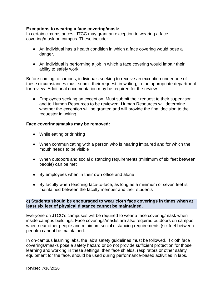#### **Exceptions to wearing a face covering/mask:**

In certain circumstances, JTCC may grant an exception to wearing a face covering/mask on campus. These include:

- An individual has a health condition in which a face covering would pose a danger.
- An individual is performing a job in which a face covering would impair their ability to safely work.

Before coming to campus, individuals seeking to receive an exception under one of these circumstances must submit their request, in writing, to the appropriate department for review. Additional documentation may be required for the review.

● Employees seeking an exception: Must submit their request to their supervisor and to Human Resources to be reviewed. Human Resources will determine whether the exception will be granted and will provide the final decision to the requestor in writing.

#### **Face coverings/masks may be removed:**

- While eating or drinking
- When communicating with a person who is hearing impaired and for which the mouth needs to be visible
- When outdoors and social distancing requirements (minimum of six feet between people) can be met
- By employees when in their own office and alone
- By faculty when teaching face-to-face, as long as a minimum of seven feet is maintained between the faculty member and their students

#### <span id="page-17-0"></span>**c) Students should be encouraged to wear cloth face coverings in times when at least six feet of physical distance cannot be maintained.**

Everyone on JTCC's campuses will be required to [wear a face covering/mask](https://www.cdc.gov/coronavirus/2019-ncov/prevent-getting-sick/cloth-face-cover-faq.html) when inside campus buildings. Face coverings/masks are also required outdoors on campus when near other people and minimum social distancing requirements (six feet between people) cannot be maintained.

In on-campus learning labs, the lab's safety guidelines must be followed. If cloth face coverings/masks pose a safety hazard or do not provide sufficient protection for those learning and working in these settings, then face shields, respirators or other safety equipment for the face, should be used during performance-based activities in labs.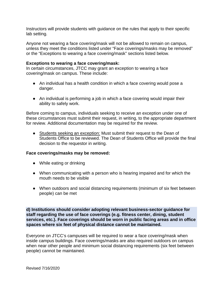Instructors will provide students with guidance on the rules that apply to their specific lab setting.

Anyone not wearing a face covering/mask will not be allowed to remain on campus, unless they meet the conditions listed under "Face coverings/masks may be removed" or the "Exceptions to wearing a face covering/mask" sections listed below.

#### **Exceptions to wearing a face covering/mask:**

In certain circumstances, JTCC may grant an exception to wearing a face covering/mask on campus. These include:

- An individual has a health condition in which a face covering would pose a danger.
- An individual is performing a job in which a face covering would impair their ability to safely work.

Before coming to campus, individuals seeking to receive an exception under one of these circumstances must submit their request, in writing, to the appropriate department for review. Additional documentation may be required for the review.

● Students seeking an exception: Must submit their request to the Dean of Students Office to be reviewed. The Dean of Students Office will provide the final decision to the requestor in writing.

#### **Face coverings/masks may be removed:**

- While eating or drinking
- When communicating with a person who is hearing impaired and for which the mouth needs to be visible
- When outdoors and social distancing requirements (minimum of six feet between people) can be met

<span id="page-18-0"></span>**d) Institutions should consider adopting relevant business-sector guidance for staff regarding the use of face coverings (e.g. fitness center, dining, student services, etc.). Face coverings should be worn in public facing areas and in office spaces where six feet of physical distance cannot be maintained.**

Everyone on JTCC's campuses will be required to [wear a face covering/mask](https://www.cdc.gov/coronavirus/2019-ncov/prevent-getting-sick/cloth-face-cover-faq.html) when inside campus buildings. Face coverings/masks are also required outdoors on campus when near other people and minimum social distancing requirements (six feet between people) cannot be maintained.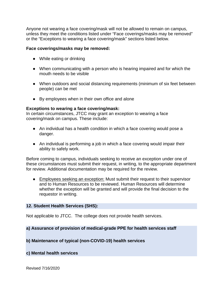Anyone not wearing a face covering/mask will not be allowed to remain on campus, unless they meet the conditions listed under "Face coverings/masks may be removed" or the "Exceptions to wearing a face covering/mask" sections listed below.

#### **Face coverings/masks may be removed:**

- While eating or drinking
- When communicating with a person who is hearing impaired and for which the mouth needs to be visible
- When outdoors and social distancing requirements (minimum of six feet between people) can be met
- By employees when in their own office and alone

#### **Exceptions to wearing a face covering/mask:**

In certain circumstances, JTCC may grant an exception to wearing a face covering/mask on campus. These include:

- An individual has a health condition in which a face covering would pose a danger.
- An individual is performing a job in which a face covering would impair their ability to safely work.

Before coming to campus, individuals seeking to receive an exception under one of these circumstances must submit their request, in writing, to the appropriate department for review. Additional documentation may be required for the review.

• Employees seeking an exception: Must submit their request to their supervisor and to Human Resources to be reviewed. Human Resources will determine whether the exception will be granted and will provide the final decision to the requestor in writing.

#### <span id="page-19-0"></span>**12. Student Health Services (SHS):**

Not applicable to JTCC. The college does not provide health services.

#### <span id="page-19-1"></span>**a) Assurance of provision of medical-grade PPE for health services staff**

#### <span id="page-19-2"></span>**b) Maintenance of typical (non-COVID-19) health services**

#### <span id="page-19-3"></span>**c) Mental health services**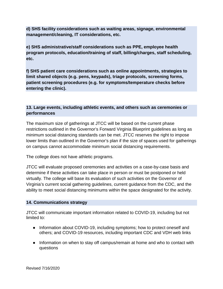<span id="page-20-0"></span>**d) SHS facility considerations such as waiting areas, signage, environmental management/cleaning, IT considerations, etc.**

<span id="page-20-1"></span>**e) SHS administrative/staff considerations such as PPE, employee health program protocols, education/training of staff, billing/charges, staff scheduling, etc.**

<span id="page-20-3"></span><span id="page-20-2"></span>**f) SHS patient care considerations such as online appointments, strategies to limit shared objects (e.g. pens, keypads), triage protocols, screening forms, patient screening procedures (e.g. for symptoms/temperature checks before entering the clinic).**

# **13. Large events, including athletic events, and others such as ceremonies or performances**

The maximum size of gatherings at JTCC will be based on the current phase restrictions outlined in the Governor's Forward Virginia Blueprint guidelines as long as minimum social distancing standards can be met. JTCC reserves the right to impose lower limits than outlined in the Governor's plan if the size of spaces used for gatherings on campus cannot accommodate minimum social distancing requirements.

The college does not have athletic programs.

JTCC will evaluate proposed ceremonies and activities on a case-by-case basis and determine if these activities can take place in person or must be postponed or held virtually. The college will base its evaluation of such activities on the Governor of Virginia's current social gathering guidelines, current guidance from the CDC, and the ability to meet social distancing minimums within the space designated for the activity.

# <span id="page-20-4"></span>**14. Communications strategy**

JTCC will communicate important information related to COVID-19, including but not limited to:

- Information about COVID-19, including symptoms; how to protect oneself and others; and COVID-19 resources, including important CDC and VDH web links
- Information on when to stay off campus/remain at home and who to contact with questions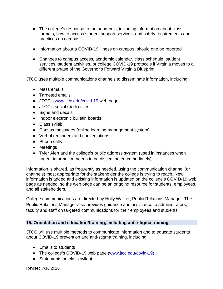- The college's response to the pandemic, including information about class formats; how to access student support services; and safety requirements and practices on campus
- Information about a COVID-19 illness on campus, should one be reported
- Changes to campus access, academic calendar, class schedule, student services, student activities, or college COVID-19 protocols if Virginia moves to a different phase of the Governor's Forward Virginia Blueprint

JTCC uses multiple communications channels to disseminate information, including:

- Mass emails
- Targeted emails
- JTCC's [www.jtcc.edu/covid-19](file://jtcc.vccs.edu/dfs/group/dof/VP%20Office%20Files/COVID%2019%20Information%20and%20Policies/www.jtcc.edu/covid-19) web page
- JTCC's social media sites
- Signs and decals
- Indoor electronic bulletin boards
- Class syllabi
- Canvas messages (online learning management system)
- Verbal reminders and conversations
- Phone calls
- Meetings
- Tyler Alert and the college's public address system (used in instances when urgent information needs to be disseminated immediately)

Information is shared, as frequently as needed, using the communication channel (or channels) most appropriate for the stakeholder the college is trying to reach. New information is added and existing information is updated on the college's COVID-19 web page as needed, so the web page can be an ongoing resource for students, employees, and all stakeholders.

College communications are directed by Holly Walker, Public Relations Manager. The Public Relations Manager also provides guidance and assistance to administrators, faculty and staff on targeted communications for their employees and students.

# <span id="page-21-0"></span>**15. Orientation and education/training, including anti-stigma training**

JTCC will use multiple methods to communicate information and to educate students about COVID-19 prevention and anti-stigma training, including:

- Emails to students
- The college's COVID-19 web page [\(www.jtcc.edu/covid-19\)](http://www.jtcc.edu/covid-19)
- Statements on class syllabi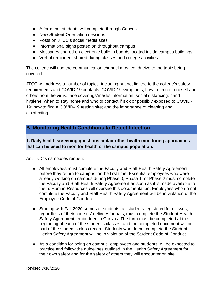- A form that students will complete through Canvas
- New Student Orientation sessions
- Posts on JTCC's social media sites
- Informational signs posted on throughout campus
- Messages shared on electronic bulletin boards located inside campus buildings
- Verbal reminders shared during classes and college activities

The college will use the communication channel most conducive to the topic being covered.

JTCC will address a number of topics, including but not limited to the college's safety requirements and COVID-19 contacts; COVID-19 symptoms; how to protect oneself and others from the virus; face coverings/masks information; social distancing; hand hygiene; when to stay home and who to contact if sick or possibly exposed to COVID-19; how to find a COVID-19 testing site; and the importance of cleaning and disinfecting.

# <span id="page-22-0"></span>**B. Monitoring Health Conditions to Detect Infection**

# <span id="page-22-1"></span>**1. Daily health screening questions and/or other health monitoring approaches that can be used to monitor health of the campus population.**

As JTCC's campuses reopen:

- All employees must complete the Faculty and Staff Health Safety Agreement before they return to campus for the first time. Essential employees who were already working on campus during Phase 0, Phase 1, or Phase 2 must complete the Faculty and Staff Health Safety Agreement as soon as it is made available to them. Human Resources will oversee this documentation. Employees who do not complete the Faculty and Staff Health Safety Agreement will be in violation of the Employee Code of Conduct.
- Starting with Fall 2020 semester students, all students registered for classes, regardless of their courses' delivery formats, must complete the Student Health Safety Agreement, embedded in Canvas. The form must be completed at the beginning of each of the student's classes, and the completed document will be part of the student's class record. Students who do not complete the Student Health Safety Agreement will be in violation of the Student Code of Conduct.
- As a condition for being on campus, employees and students will be expected to practice and follow the guidelines outlined in the Health Safety Agreement for their own safety and for the safety of others they will encounter on site.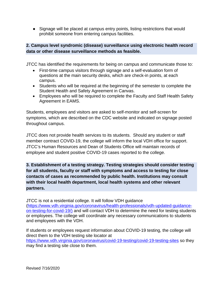● Signage will be placed at campus entry points, listing restrictions that would prohibit someone from entering campus facilities.

# <span id="page-23-0"></span>**2. Campus level syndromic (disease) surveillance using electronic health record data or other disease surveillance methods as feasible.**

JTCC has identified the requirements for being on campus and communicate those to:

- First-time campus visitors through signage and a self-evaluation form of questions at the main security desks, which are check-in points, at each campus.
- Students who will be required at the beginning of the semester to complete the Student Health and Safety Agreement in Canvas.
- Employees who will be required to complete the Faculty and Staff Health Safety Agreement in EAMS.

Students, employees and visitors are asked to self-monitor and self-screen for symptoms, which are described on the CDC website and indicated on signage posted throughout campus.

JTCC does not provide health services to its students. Should any student or staff member contract COVID-19, the college will inform the local VDH office for support. JTCC's Human Resources and Dean of Students Office will maintain records of employee and student positive COVID-19 cases reported to the college.

<span id="page-23-1"></span>**3. Establishment of a testing strategy. Testing strategies should consider testing for all students, faculty or staff with symptoms and access to testing for close contacts of cases as recommended by public health. Institutions may consult with their local health department, local health systems and other relevant partners.**

JTCC is not a residential college. It will follow VDH guidance [\(https://www.vdh.virginia.gov/coronavirus/health-professionals/vdh-updated-guidance](https://www.vdh.virginia.gov/coronavirus/health-professionals/vdh-updated-guidance-on-testing-for-covid-19/)[on-testing-for-covid-19/\)](https://www.vdh.virginia.gov/coronavirus/health-professionals/vdh-updated-guidance-on-testing-for-covid-19/) and will contact VDH to determine the need for testing students or employees. The college will coordinate any necessary communications to students and employees with the VDH.

If students or employees request information about COVID-19 testing, the college will direct them to the VDH testing site locator at <https://www.vdh.virginia.gov/coronavirus/covid-19-testing/covid-19-testing-sites> so they may find a testing site close to them.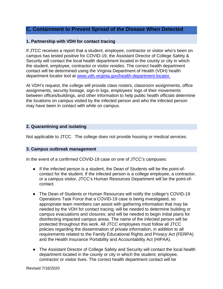# <span id="page-24-0"></span>**C. Containment to Prevent Spread of the Disease When Detected**

#### <span id="page-24-1"></span>**1. Partnership with VDH for contact tracing**

If JTCC receives a report that a student, employee, contractor or visitor who's been on campus has tested positive for COVID-19, the Assistant Director of College Safety & Security will contact the local health department located in the county or city in which the student, employee, contractor or visitor resides. The correct health department contact will be determined using the Virginia Department of Health (VDH) health department locator tool at [www.vdh.virginia.gov/health-department-locator.](http://www.vdh.virginia.gov/health-department-locator) 

At VDH's request, the college will provide class rosters, classroom assignments, office assignments, security footage, sign-in logs, employees' logs of their movements between offices/buildings, and other information to help public health officials determine the locations on campus visited by the infected person and who the infected person may have been in contact with while on campus.

#### <span id="page-24-2"></span>**2. Quarantining and isolating**

Not applicable to JTCC. The college does not provide housing or medical services.

#### <span id="page-24-3"></span>**3. Campus outbreak management**

In the event of a confirmed COVID-19 case on one of JTCC's campuses:

- If the infected person is a student, the Dean of Students will be the point-ofcontact for the student. If the infected person is a college employee, a contractor, or a campus visitor, JTCC's Human Resources Department will be the point-ofcontact.
- The Dean of Students or Human Resources will notify the college's COVID-19 Operations Task Force that a COVID-19 case is being investigated, so appropriate team members can assist with gathering information that may be needed by the VDH for contact tracing; will be needed to determine building or campus evacuations and closures; and will be needed to begin initial plans for disinfecting impacted campus areas. The name of the infected person will be protected throughout this work. All JTCC employees must follow all JTCC policies regarding the dissemination of private information, in addition to all requirements related to the Family Educational Rights and Privacy Act (FERPA) and the Health Insurance Portability and Accountability Act (HIPAA).
- The Assistant Director of College Safety and Security will contact the local health department located in the county or city in which the student, employee, contractor or visitor lives. The correct health department contact will be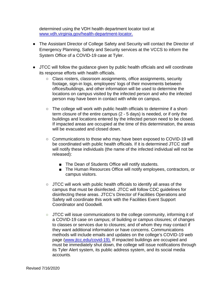determined using the VDH health department locator tool a[t](http://www.vdh.virginia.gov/health-department-locator) [www.vdh.virginia.gov/health-department-locator.](http://www.vdh.virginia.gov/health-department-locator) 

- The Assistant Director of College Safety and Security will contact the Director of Emergency Planning, Safety and Security services at the VCCS to inform the System Office of a COVID-19 case at Tyler.
- JTCC will follow the guidance given by public health officials and will coordinate its response efforts with health officials.
	- Class rosters, classroom assignments, office assignments, security footage, sign-in logs, employees' logs of their movements between offices/buildings, and other information will be used to determine the locations on campus visited by the infected person and who the infected person may have been in contact with while on campus.
	- The college will work with public health officials to determine if a shortterm closure of the entire campus (2 - 5 days) is needed, or if only the buildings and locations entered by the infected person need to be closed. If impacted areas are occupied at the time of this determination, the areas will be evacuated and closed down.
	- Communications to those who may have been exposed to COVID-19 will be coordinated with public health officials. If it is determined JTCC staff will notify these individuals (the name of the infected individual will not be released):
		- The Dean of Students Office will notify students.
		- The Human Resources Office will notify employees, contractors, or campus visitors.
	- JTCC will work with public health officials to identify all areas of the campus that must be disinfected. JTCC will follow CDC guidelines for disinfecting these areas. JTCC's Director of Facilities Operations and Safety will coordinate this work with the Facilities Event Support Coordinator and Goodwill.
	- JTCC will issue communications to the college community, informing it of a COVID-19 case on campus; of building or campus closures; of changes to classes or services due to closures; and of whom they may contact if they want additional information or have concerns. Communications methods will include emails and updates on the college's COVID-19 web page [\(www.jtcc.edu/covid-19\).](http://www.jtcc.edu/covid-19) If impacted buildings are occupied and must be immediately shut down, the college will issue notifications through its Tyler Alert system, its public address system, and its social media accounts.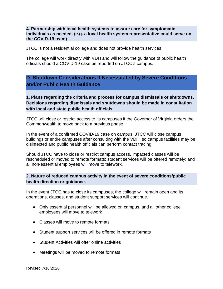#### <span id="page-26-0"></span>**4. Partnership with local health systems to assure care for symptomatic individuals as needed. (e.g. a local health system representative could serve on the COVID-19 team)**

JTCC is not a residential college and does not provide health services.

The college will work directly with VDH and will follow the guidance of public health officials should a COVID-19 case be reported on JTCC's campus.

# <span id="page-26-1"></span>**D. Shutdown Considerations If Necessitated by Severe Conditions and/or Public Health Guidance**

<span id="page-26-2"></span>**1. Plans regarding the criteria and process for campus dismissals or shutdowns. Decisions regarding dismissals and shutdowns should be made in consultation with local and state public health officials.**

JTCC will close or restrict access to its campuses if the Governor of Virginia orders the Commonwealth to move back to a previous phase.

In the event of a confirmed COVID-19 case on campus, JTCC will close campus buildings or entire campuses after consulting with the VDH, so campus facilities may be disinfected and public health officials can perform contact tracing.

Should JTCC have to close or restrict campus access, impacted classes will be rescheduled or moved to remote formats; student services will be offered remotely; and all non-essential employees will move to telework.

# <span id="page-26-3"></span>**2. Nature of reduced campus activity in the event of severe conditions/public health direction or guidance.**

In the event JTCC has to close its campuses, the college will remain open and its operations, classes, and student support services will continue.

- Only essential personnel will be allowed on campus, and all other college employees will move to telework
- Classes will move to remote formats
- Student support services will be offered in remote formats
- Student Activities will offer online activities
- Meetings will be moved to remote formats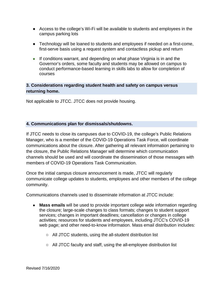- Access to the college's Wi-Fi will be available to students and employees in the campus parking lots
- Technology will be loaned to students and employees if needed on a first-come, first-serve basis using a request system and contactless pickup and return
- If conditions warrant, and depending on what phase Virginia is in and the Governor's orders, some faculty and students may be allowed on campus to conduct performance-based learning in skills labs to allow for completion of courses

# <span id="page-27-0"></span>**3. Considerations regarding student health and safety on campus versus returning home.**

Not applicable to JTCC. JTCC does not provide housing.

# <span id="page-27-1"></span>**4. Communications plan for dismissals/shutdowns.**

If JTCC needs to close its campuses due to COVID-19, the college's Public Relations Manager, who is a member of the COVID-19 Operations Task Force, will coordinate communications about the closure. After gathering all relevant information pertaining to the closure, the Public Relations Manager will determine which communication channels should be used and will coordinate the dissemination of those messages with members of COVID-19 Operations Task Communication.

Once the initial campus closure announcement is made, JTCC will regularly communicate college updates to students, employees and other members of the college community.

Communications channels used to disseminate information at JTCC include:

- **Mass emails** will be used to provide important college wide information regarding the closure; large-scale changes to class formats; changes to student support services; changes in important deadlines; cancellation or changes in college activities; resources for students and employees, including JTCC's COVID-19 web page; and other need-to-know information. Mass email distribution includes:
	- All JTCC students, using the all-student distribution list
	- All JTCC faculty and staff, using the all-employee distribution list